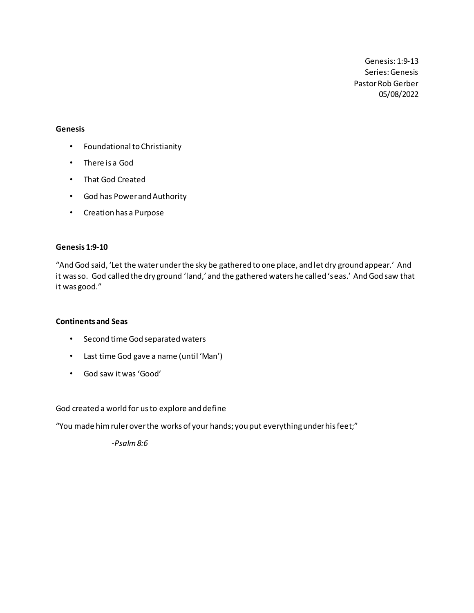Genesis: 1:9-13 Series: Genesis Pastor Rob Gerber 05/08/2022

### **Genesis**

- Foundational to Christianity
- There is a God
- That God Created
- God has Power and Authority
- Creation has a Purpose

## **Genesis 1:9-10**

"And God said, 'Let the water under the sky be gathered to one place, and let dry ground appear.' And it was so. God called the dry ground 'land,' and the gathered waters he called 'seas.' And God saw that it was good."

## **Continents and Seas**

- Second time God separated waters
- Last time God gave a name (until 'Man')
- God saw it was 'Good'

God created a world for us to explore and define

"You made him ruler over the works of your hands; you put everything under his feet;"

*-Psalm 8:6*